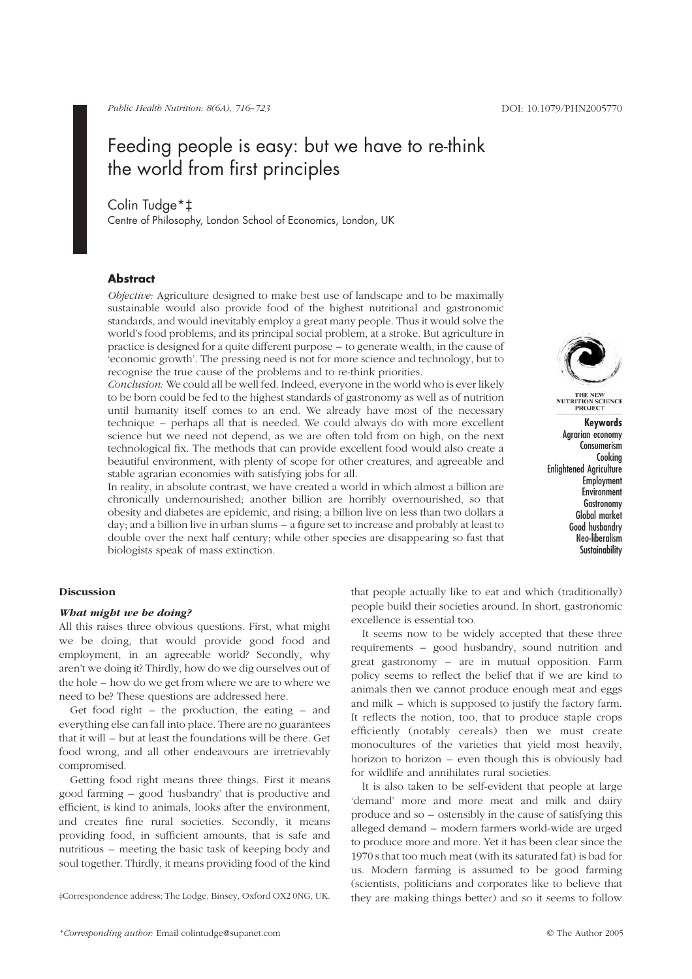# Feeding people is easy: but we have to re-think the world from first principles

Colin Tudge\*<sup>+</sup>

Centre of Philosophy, London School of Economics, London, UK

# Abstract

Objective: Agriculture designed to make best use of landscape and to be maximally sustainable would also provide food of the highest nutritional and gastronomic standards, and would inevitably employ a great many people. Thus it would solve the world's food problems, and its principal social problem, at a stroke. But agriculture in practice is designed for a quite different purpose – to generate wealth, in the cause of 'economic growth'. The pressing need is not for more science and technology, but to recognise the true cause of the problems and to re-think priorities.

Conclusion: We could all be well fed. Indeed, everyone in the world who is ever likely to be born could be fed to the highest standards of gastronomy as well as of nutrition until humanity itself comes to an end. We already have most of the necessary technique – perhaps all that is needed. We could always do with more excellent science but we need not depend, as we are often told from on high, on the next technological fix. The methods that can provide excellent food would also create a beautiful environment, with plenty of scope for other creatures, and agreeable and stable agrarian economies with satisfying jobs for all.

In reality, in absolute contrast, we have created a world in which almost a billion are chronically undernourished; another billion are horribly overnourished, so that obesity and diabetes are epidemic, and rising; a billion live on less than two dollars a day; and a billion live in urban slums – a figure set to increase and probably at least to double over the next half century; while other species are disappearing so fast that biologists speak of mass extinction.



THE NEW<br>NUTRITION SCIENCE<br>PROJECT

Keywords Agrarian economy Consumerism Cooking Enlightened Agriculture **Employment** Environment Gastronomy Global market Good husbandry Neo-liberalism **Sustainability** 

# Discussion

#### What might we be doing?

All this raises three obvious questions. First, what might we be doing, that would provide good food and employment, in an agreeable world? Secondly, why aren't we doing it? Thirdly, how do we dig ourselves out of the hole – how do we get from where we are to where we need to be? These questions are addressed here.

Get food right – the production, the eating – and everything else can fall into place. There are no guarantees that it will – but at least the foundations will be there. Get food wrong, and all other endeavours are irretrievably compromised.

Getting food right means three things. First it means good farming – good 'husbandry' that is productive and efficient, is kind to animals, looks after the environment, and creates fine rural societies. Secondly, it means providing food, in sufficient amounts, that is safe and nutritious – meeting the basic task of keeping body and soul together. Thirdly, it means providing food of the kind

‡Correspondence address: The Lodge, Binsey, Oxford OX2 0NG, UK.

that people actually like to eat and which (traditionally) people build their societies around. In short, gastronomic excellence is essential too.

It seems now to be widely accepted that these three requirements – good husbandry, sound nutrition and great gastronomy – are in mutual opposition. Farm policy seems to reflect the belief that if we are kind to animals then we cannot produce enough meat and eggs and milk – which is supposed to justify the factory farm. It reflects the notion, too, that to produce staple crops efficiently (notably cereals) then we must create monocultures of the varieties that yield most heavily, horizon to horizon – even though this is obviously bad for wildlife and annihilates rural societies.

It is also taken to be self-evident that people at large 'demand' more and more meat and milk and dairy produce and so – ostensibly in the cause of satisfying this alleged demand – modern farmers world-wide are urged to produce more and more. Yet it has been clear since the 1970 s that too much meat (with its saturated fat) is bad for us. Modern farming is assumed to be good farming (scientists, politicians and corporates like to believe that they are making things better) and so it seems to follow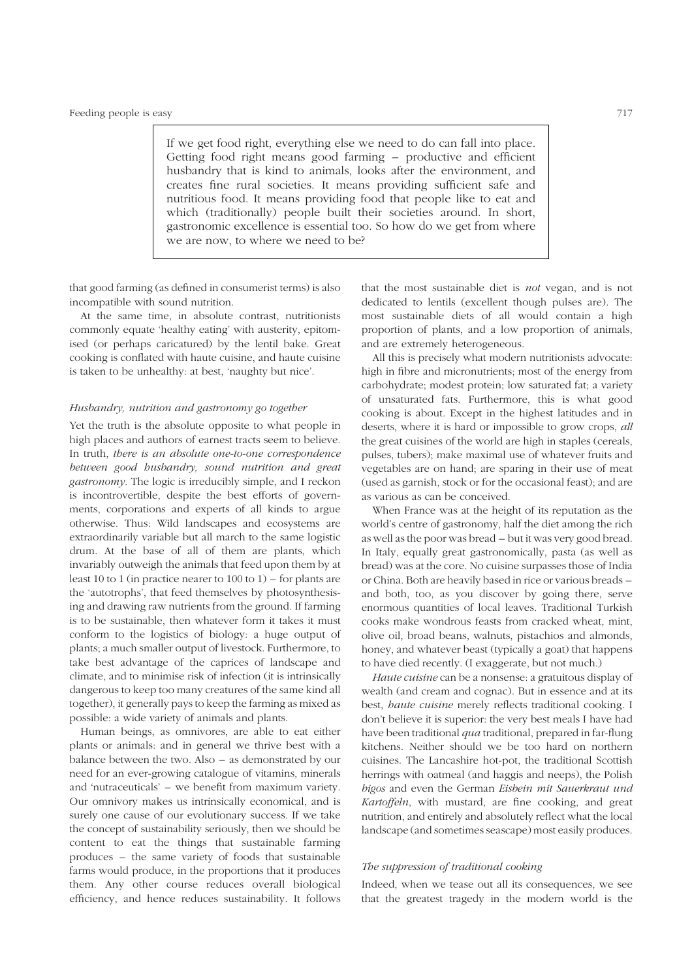If we get food right, everything else we need to do can fall into place. Getting food right means good farming – productive and efficient husbandry that is kind to animals, looks after the environment, and creates fine rural societies. It means providing sufficient safe and nutritious food. It means providing food that people like to eat and which (traditionally) people built their societies around. In short, gastronomic excellence is essential too. So how do we get from where we are now, to where we need to be?

that good farming (as defined in consumerist terms) is also incompatible with sound nutrition.

At the same time, in absolute contrast, nutritionists commonly equate 'healthy eating' with austerity, epitomised (or perhaps caricatured) by the lentil bake. Great cooking is conflated with haute cuisine, and haute cuisine is taken to be unhealthy: at best, 'naughty but nice'.

# Husbandry, nutrition and gastronomy go together

Yet the truth is the absolute opposite to what people in high places and authors of earnest tracts seem to believe. In truth, *there is an absolute one-to-one correspondence* between good husbandry, sound nutrition and great gastronomy. The logic is irreducibly simple, and I reckon is incontrovertible, despite the best efforts of governments, corporations and experts of all kinds to argue otherwise. Thus: Wild landscapes and ecosystems are extraordinarily variable but all march to the same logistic drum. At the base of all of them are plants, which invariably outweigh the animals that feed upon them by at least 10 to 1 (in practice nearer to 100 to 1) – for plants are the 'autotrophs', that feed themselves by photosynthesising and drawing raw nutrients from the ground. If farming is to be sustainable, then whatever form it takes it must conform to the logistics of biology: a huge output of plants; a much smaller output of livestock. Furthermore, to take best advantage of the caprices of landscape and climate, and to minimise risk of infection (it is intrinsically dangerous to keep too many creatures of the same kind all together), it generally pays to keep the farming as mixed as possible: a wide variety of animals and plants.

Human beings, as omnivores, are able to eat either plants or animals: and in general we thrive best with a balance between the two. Also – as demonstrated by our need for an ever-growing catalogue of vitamins, minerals and 'nutraceuticals' – we benefit from maximum variety. Our omnivory makes us intrinsically economical, and is surely one cause of our evolutionary success. If we take the concept of sustainability seriously, then we should be content to eat the things that sustainable farming produces – the same variety of foods that sustainable farms would produce, in the proportions that it produces them. Any other course reduces overall biological efficiency, and hence reduces sustainability. It follows

that the most sustainable diet is not vegan, and is not dedicated to lentils (excellent though pulses are). The most sustainable diets of all would contain a high proportion of plants, and a low proportion of animals, and are extremely heterogeneous.

All this is precisely what modern nutritionists advocate: high in fibre and micronutrients; most of the energy from carbohydrate; modest protein; low saturated fat; a variety of unsaturated fats. Furthermore, this is what good cooking is about. Except in the highest latitudes and in deserts, where it is hard or impossible to grow crops, all the great cuisines of the world are high in staples (cereals, pulses, tubers); make maximal use of whatever fruits and vegetables are on hand; are sparing in their use of meat (used as garnish, stock or for the occasional feast); and are as various as can be conceived.

When France was at the height of its reputation as the world's centre of gastronomy, half the diet among the rich as well as the poor was bread – but it was very good bread. In Italy, equally great gastronomically, pasta (as well as bread) was at the core. No cuisine surpasses those of India or China. Both are heavily based in rice or various breads – and both, too, as you discover by going there, serve enormous quantities of local leaves. Traditional Turkish cooks make wondrous feasts from cracked wheat, mint, olive oil, broad beans, walnuts, pistachios and almonds, honey, and whatever beast (typically a goat) that happens to have died recently. (I exaggerate, but not much.)

Haute cuisine can be a nonsense: a gratuitous display of wealth (and cream and cognac). But in essence and at its best, haute cuisine merely reflects traditional cooking. I don't believe it is superior: the very best meals I have had have been traditional qua traditional, prepared in far-flung kitchens. Neither should we be too hard on northern cuisines. The Lancashire hot-pot, the traditional Scottish herrings with oatmeal (and haggis and neeps), the Polish bigos and even the German Eisbein mit Sauerkraut und Kartoffeln, with mustard, are fine cooking, and great nutrition, and entirely and absolutely reflect what the local landscape (and sometimes seascape) most easily produces.

#### The suppression of traditional cooking

Indeed, when we tease out all its consequences, we see that the greatest tragedy in the modern world is the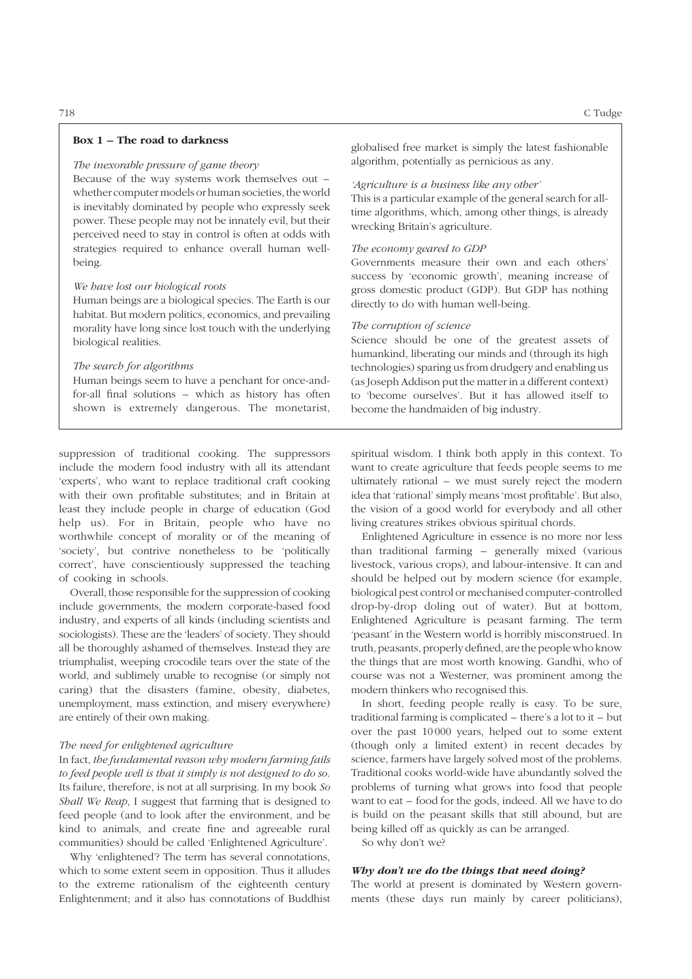# Box 1 – The road to darkness

# The inexorable pressure of game theory

Because of the way systems work themselves out – whether computer models or human societies, the world is inevitably dominated by people who expressly seek power. These people may not be innately evil, but their perceived need to stay in control is often at odds with strategies required to enhance overall human wellbeing.

#### We have lost our biological roots

Human beings are a biological species. The Earth is our habitat. But modern politics, economics, and prevailing morality have long since lost touch with the underlying biological realities.

#### The search for algorithms

Human beings seem to have a penchant for once-andfor-all final solutions – which as history has often shown is extremely dangerous. The monetarist,

718 C Tudge

globalised free market is simply the latest fashionable algorithm, potentially as pernicious as any.

# 'Agriculture is a business like any other'

This is a particular example of the general search for alltime algorithms, which, among other things, is already wrecking Britain's agriculture.

# The economy geared to GDP

Governments measure their own and each others' success by 'economic growth', meaning increase of gross domestic product (GDP). But GDP has nothing directly to do with human well-being.

#### The corruption of science

Science should be one of the greatest assets of humankind, liberating our minds and (through its high technologies) sparing us from drudgery and enabling us (as Joseph Addison put the matter in a different context) to 'become ourselves'. But it has allowed itself to become the handmaiden of big industry.

suppression of traditional cooking. The suppressors include the modern food industry with all its attendant 'experts', who want to replace traditional craft cooking with their own profitable substitutes; and in Britain at least they include people in charge of education (God help us). For in Britain, people who have no worthwhile concept of morality or of the meaning of 'society', but contrive nonetheless to be 'politically correct', have conscientiously suppressed the teaching of cooking in schools.

Overall, those responsible for the suppression of cooking include governments, the modern corporate-based food industry, and experts of all kinds (including scientists and sociologists). These are the 'leaders' of society. They should all be thoroughly ashamed of themselves. Instead they are triumphalist, weeping crocodile tears over the state of the world, and sublimely unable to recognise (or simply not caring) that the disasters (famine, obesity, diabetes, unemployment, mass extinction, and misery everywhere) are entirely of their own making.

#### The need for enlightened agriculture

In fact, the fundamental reason why modern farming fails to feed people well is that it simply is not designed to do so. Its failure, therefore, is not at all surprising. In my book So Shall We Reap, I suggest that farming that is designed to feed people (and to look after the environment, and be kind to animals, and create fine and agreeable rural communities) should be called 'Enlightened Agriculture'.

Why 'enlightened'? The term has several connotations, which to some extent seem in opposition. Thus it alludes to the extreme rationalism of the eighteenth century Enlightenment; and it also has connotations of Buddhist spiritual wisdom. I think both apply in this context. To want to create agriculture that feeds people seems to me ultimately rational – we must surely reject the modern idea that 'rational' simply means 'most profitable'. But also, the vision of a good world for everybody and all other living creatures strikes obvious spiritual chords.

Enlightened Agriculture in essence is no more nor less than traditional farming – generally mixed (various livestock, various crops), and labour-intensive. It can and should be helped out by modern science (for example, biological pest control or mechanised computer-controlled drop-by-drop doling out of water). But at bottom, Enlightened Agriculture is peasant farming. The term 'peasant' in the Western world is horribly misconstrued. In truth, peasants, properly defined, are the people who know the things that are most worth knowing. Gandhi, who of course was not a Westerner, was prominent among the modern thinkers who recognised this.

In short, feeding people really is easy. To be sure, traditional farming is complicated – there's a lot to it – but over the past 10 000 years, helped out to some extent (though only a limited extent) in recent decades by science, farmers have largely solved most of the problems. Traditional cooks world-wide have abundantly solved the problems of turning what grows into food that people want to eat – food for the gods, indeed. All we have to do is build on the peasant skills that still abound, but are being killed off as quickly as can be arranged.

So why don't we?

# Why don't we do the things that need doing?

The world at present is dominated by Western governments (these days run mainly by career politicians),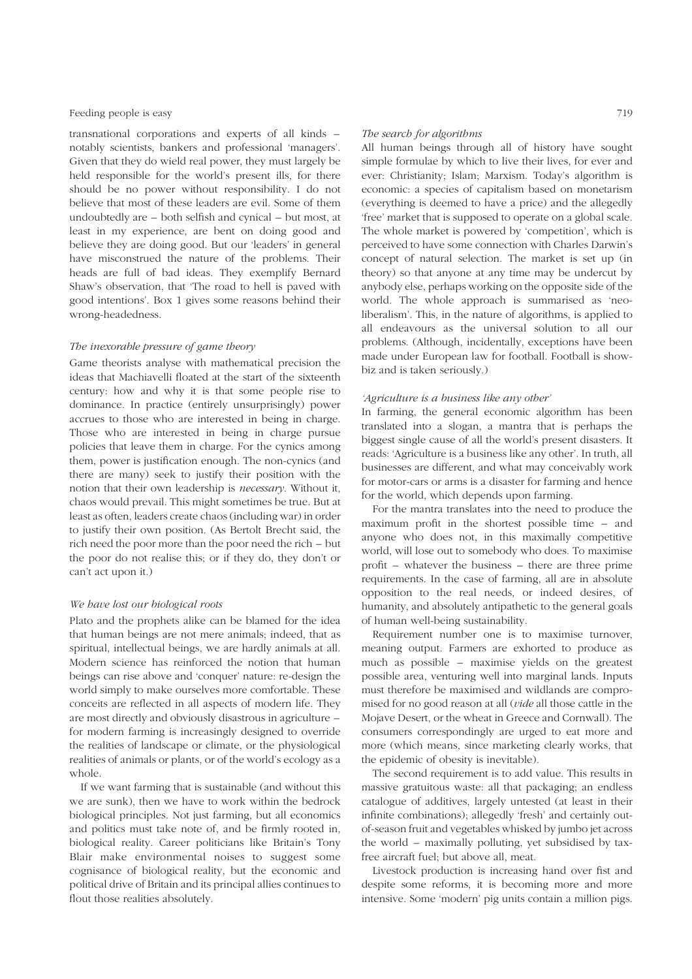### Feeding people is easy 719

transnational corporations and experts of all kinds – notably scientists, bankers and professional 'managers'. Given that they do wield real power, they must largely be held responsible for the world's present ills, for there should be no power without responsibility. I do not believe that most of these leaders are evil. Some of them undoubtedly are – both selfish and cynical – but most, at least in my experience, are bent on doing good and believe they are doing good. But our 'leaders' in general have misconstrued the nature of the problems. Their heads are full of bad ideas. They exemplify Bernard Shaw's observation, that 'The road to hell is paved with good intentions'. Box 1 gives some reasons behind their wrong-headedness.

# The inexorable pressure of game theory

Game theorists analyse with mathematical precision the ideas that Machiavelli floated at the start of the sixteenth century: how and why it is that some people rise to dominance. In practice (entirely unsurprisingly) power accrues to those who are interested in being in charge. Those who are interested in being in charge pursue policies that leave them in charge. For the cynics among them, power is justification enough. The non-cynics (and there are many) seek to justify their position with the notion that their own leadership is necessary. Without it, chaos would prevail. This might sometimes be true. But at least as often, leaders create chaos (including war) in order to justify their own position. (As Bertolt Brecht said, the rich need the poor more than the poor need the rich – but the poor do not realise this; or if they do, they don't or can't act upon it.)

### We have lost our biological roots

Plato and the prophets alike can be blamed for the idea that human beings are not mere animals; indeed, that as spiritual, intellectual beings, we are hardly animals at all. Modern science has reinforced the notion that human beings can rise above and 'conquer' nature: re-design the world simply to make ourselves more comfortable. These conceits are reflected in all aspects of modern life. They are most directly and obviously disastrous in agriculture – for modern farming is increasingly designed to override the realities of landscape or climate, or the physiological realities of animals or plants, or of the world's ecology as a whole.

If we want farming that is sustainable (and without this we are sunk), then we have to work within the bedrock biological principles. Not just farming, but all economics and politics must take note of, and be firmly rooted in, biological reality. Career politicians like Britain's Tony Blair make environmental noises to suggest some cognisance of biological reality, but the economic and political drive of Britain and its principal allies continues to flout those realities absolutely.

#### The search for algorithms

All human beings through all of history have sought simple formulae by which to live their lives, for ever and ever: Christianity; Islam; Marxism. Today's algorithm is economic: a species of capitalism based on monetarism (everything is deemed to have a price) and the allegedly 'free' market that is supposed to operate on a global scale. The whole market is powered by 'competition', which is perceived to have some connection with Charles Darwin's concept of natural selection. The market is set up (in theory) so that anyone at any time may be undercut by anybody else, perhaps working on the opposite side of the world. The whole approach is summarised as 'neoliberalism'. This, in the nature of algorithms, is applied to all endeavours as the universal solution to all our problems. (Although, incidentally, exceptions have been made under European law for football. Football is showbiz and is taken seriously.)

#### 'Agriculture is a business like any other'

In farming, the general economic algorithm has been translated into a slogan, a mantra that is perhaps the biggest single cause of all the world's present disasters. It reads: 'Agriculture is a business like any other'. In truth, all businesses are different, and what may conceivably work for motor-cars or arms is a disaster for farming and hence for the world, which depends upon farming.

For the mantra translates into the need to produce the maximum profit in the shortest possible time – and anyone who does not, in this maximally competitive world, will lose out to somebody who does. To maximise profit – whatever the business – there are three prime requirements. In the case of farming, all are in absolute opposition to the real needs, or indeed desires, of humanity, and absolutely antipathetic to the general goals of human well-being sustainability.

Requirement number one is to maximise turnover, meaning output. Farmers are exhorted to produce as much as possible – maximise yields on the greatest possible area, venturing well into marginal lands. Inputs must therefore be maximised and wildlands are compromised for no good reason at all (vide all those cattle in the Mojave Desert, or the wheat in Greece and Cornwall). The consumers correspondingly are urged to eat more and more (which means, since marketing clearly works, that the epidemic of obesity is inevitable).

The second requirement is to add value. This results in massive gratuitous waste: all that packaging; an endless catalogue of additives, largely untested (at least in their infinite combinations); allegedly 'fresh' and certainly outof-season fruit and vegetables whisked by jumbo jet across the world – maximally polluting, yet subsidised by taxfree aircraft fuel; but above all, meat.

Livestock production is increasing hand over fist and despite some reforms, it is becoming more and more intensive. Some 'modern' pig units contain a million pigs.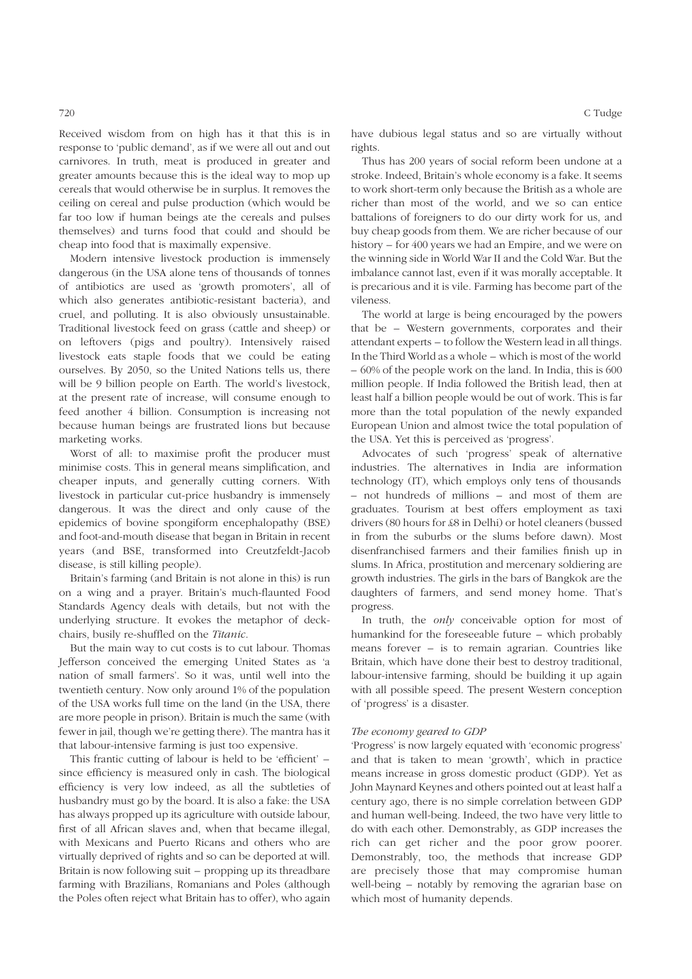Received wisdom from on high has it that this is in response to 'public demand', as if we were all out and out carnivores. In truth, meat is produced in greater and greater amounts because this is the ideal way to mop up cereals that would otherwise be in surplus. It removes the ceiling on cereal and pulse production (which would be far too low if human beings ate the cereals and pulses themselves) and turns food that could and should be cheap into food that is maximally expensive.

Modern intensive livestock production is immensely dangerous (in the USA alone tens of thousands of tonnes of antibiotics are used as 'growth promoters', all of which also generates antibiotic-resistant bacteria), and cruel, and polluting. It is also obviously unsustainable. Traditional livestock feed on grass (cattle and sheep) or on leftovers (pigs and poultry). Intensively raised livestock eats staple foods that we could be eating ourselves. By 2050, so the United Nations tells us, there will be 9 billion people on Earth. The world's livestock, at the present rate of increase, will consume enough to feed another 4 billion. Consumption is increasing not because human beings are frustrated lions but because marketing works.

Worst of all: to maximise profit the producer must minimise costs. This in general means simplification, and cheaper inputs, and generally cutting corners. With livestock in particular cut-price husbandry is immensely dangerous. It was the direct and only cause of the epidemics of bovine spongiform encephalopathy (BSE) and foot-and-mouth disease that began in Britain in recent years (and BSE, transformed into Creutzfeldt-Jacob disease, is still killing people).

Britain's farming (and Britain is not alone in this) is run on a wing and a prayer. Britain's much-flaunted Food Standards Agency deals with details, but not with the underlying structure. It evokes the metaphor of deckchairs, busily re-shuffled on the Titanic.

But the main way to cut costs is to cut labour. Thomas Jefferson conceived the emerging United States as 'a nation of small farmers'. So it was, until well into the twentieth century. Now only around 1% of the population of the USA works full time on the land (in the USA, there are more people in prison). Britain is much the same (with fewer in jail, though we're getting there). The mantra has it that labour-intensive farming is just too expensive.

This frantic cutting of labour is held to be 'efficient' – since efficiency is measured only in cash. The biological efficiency is very low indeed, as all the subtleties of husbandry must go by the board. It is also a fake: the USA has always propped up its agriculture with outside labour, first of all African slaves and, when that became illegal, with Mexicans and Puerto Ricans and others who are virtually deprived of rights and so can be deported at will. Britain is now following suit – propping up its threadbare farming with Brazilians, Romanians and Poles (although the Poles often reject what Britain has to offer), who again have dubious legal status and so are virtually without rights.

Thus has 200 years of social reform been undone at a stroke. Indeed, Britain's whole economy is a fake. It seems to work short-term only because the British as a whole are richer than most of the world, and we so can entice battalions of foreigners to do our dirty work for us, and buy cheap goods from them. We are richer because of our history – for 400 years we had an Empire, and we were on the winning side in World War II and the Cold War. But the imbalance cannot last, even if it was morally acceptable. It is precarious and it is vile. Farming has become part of the vileness.

The world at large is being encouraged by the powers that be – Western governments, corporates and their attendant experts – to follow the Western lead in all things. In the Third World as a whole – which is most of the world – 60% of the people work on the land. In India, this is 600 million people. If India followed the British lead, then at least half a billion people would be out of work. This is far more than the total population of the newly expanded European Union and almost twice the total population of the USA. Yet this is perceived as 'progress'.

Advocates of such 'progress' speak of alternative industries. The alternatives in India are information technology (IT), which employs only tens of thousands – not hundreds of millions – and most of them are graduates. Tourism at best offers employment as taxi drivers (80 hours for £8 in Delhi) or hotel cleaners (bussed in from the suburbs or the slums before dawn). Most disenfranchised farmers and their families finish up in slums. In Africa, prostitution and mercenary soldiering are growth industries. The girls in the bars of Bangkok are the daughters of farmers, and send money home. That's progress.

In truth, the only conceivable option for most of humankind for the foreseeable future – which probably means forever – is to remain agrarian. Countries like Britain, which have done their best to destroy traditional, labour-intensive farming, should be building it up again with all possible speed. The present Western conception of 'progress' is a disaster.

# The economy geared to GDP

'Progress' is now largely equated with 'economic progress' and that is taken to mean 'growth', which in practice means increase in gross domestic product (GDP). Yet as John Maynard Keynes and others pointed out at least half a century ago, there is no simple correlation between GDP and human well-being. Indeed, the two have very little to do with each other. Demonstrably, as GDP increases the rich can get richer and the poor grow poorer. Demonstrably, too, the methods that increase GDP are precisely those that may compromise human well-being – notably by removing the agrarian base on which most of humanity depends.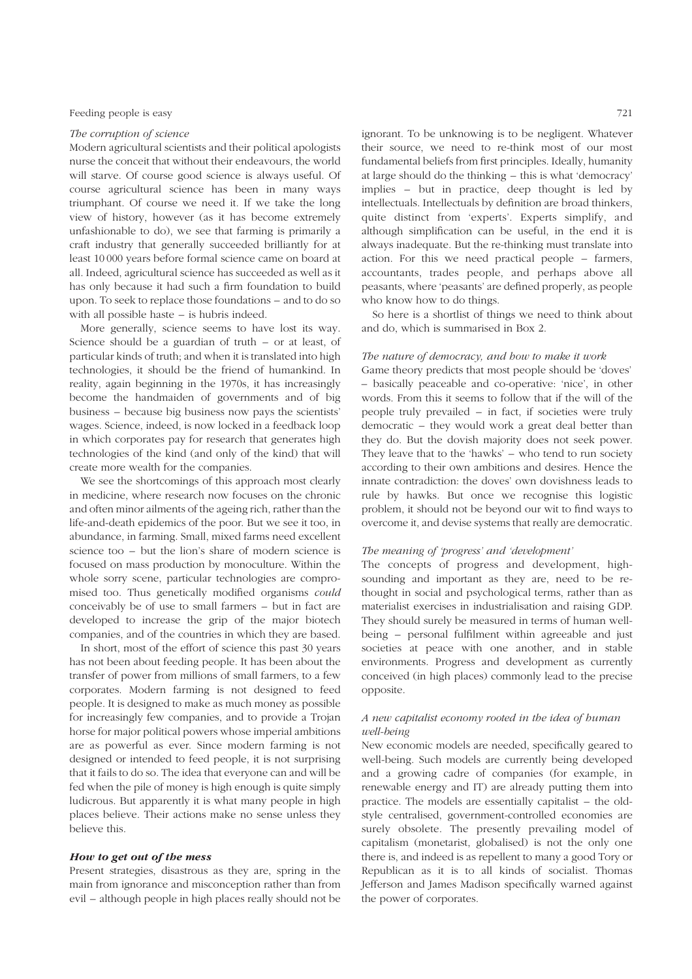#### Feeding people is easy 721

#### The corruption of science

Modern agricultural scientists and their political apologists nurse the conceit that without their endeavours, the world will starve. Of course good science is always useful. Of course agricultural science has been in many ways triumphant. Of course we need it. If we take the long view of history, however (as it has become extremely unfashionable to do), we see that farming is primarily a craft industry that generally succeeded brilliantly for at least 10 000 years before formal science came on board at all. Indeed, agricultural science has succeeded as well as it has only because it had such a firm foundation to build upon. To seek to replace those foundations – and to do so with all possible haste – is hubris indeed.

More generally, science seems to have lost its way. Science should be a guardian of truth – or at least, of particular kinds of truth; and when it is translated into high technologies, it should be the friend of humankind. In reality, again beginning in the 1970s, it has increasingly become the handmaiden of governments and of big business – because big business now pays the scientists' wages. Science, indeed, is now locked in a feedback loop in which corporates pay for research that generates high technologies of the kind (and only of the kind) that will create more wealth for the companies.

We see the shortcomings of this approach most clearly in medicine, where research now focuses on the chronic and often minor ailments of the ageing rich, rather than the life-and-death epidemics of the poor. But we see it too, in abundance, in farming. Small, mixed farms need excellent science too – but the lion's share of modern science is focused on mass production by monoculture. Within the whole sorry scene, particular technologies are compromised too. Thus genetically modified organisms could conceivably be of use to small farmers – but in fact are developed to increase the grip of the major biotech companies, and of the countries in which they are based.

In short, most of the effort of science this past 30 years has not been about feeding people. It has been about the transfer of power from millions of small farmers, to a few corporates. Modern farming is not designed to feed people. It is designed to make as much money as possible for increasingly few companies, and to provide a Trojan horse for major political powers whose imperial ambitions are as powerful as ever. Since modern farming is not designed or intended to feed people, it is not surprising that it fails to do so. The idea that everyone can and will be fed when the pile of money is high enough is quite simply ludicrous. But apparently it is what many people in high places believe. Their actions make no sense unless they believe this.

## How to get out of the mess

Present strategies, disastrous as they are, spring in the main from ignorance and misconception rather than from evil – although people in high places really should not be

ignorant. To be unknowing is to be negligent. Whatever their source, we need to re-think most of our most fundamental beliefs from first principles. Ideally, humanity at large should do the thinking – this is what 'democracy' implies – but in practice, deep thought is led by intellectuals. Intellectuals by definition are broad thinkers, quite distinct from 'experts'. Experts simplify, and although simplification can be useful, in the end it is always inadequate. But the re-thinking must translate into action. For this we need practical people – farmers, accountants, trades people, and perhaps above all peasants, where 'peasants' are defined properly, as people who know how to do things.

So here is a shortlist of things we need to think about and do, which is summarised in Box 2.

#### The nature of democracy, and how to make it work

Game theory predicts that most people should be 'doves' – basically peaceable and co-operative: 'nice', in other words. From this it seems to follow that if the will of the people truly prevailed – in fact, if societies were truly democratic – they would work a great deal better than they do. But the dovish majority does not seek power. They leave that to the 'hawks' – who tend to run society according to their own ambitions and desires. Hence the innate contradiction: the doves' own dovishness leads to rule by hawks. But once we recognise this logistic problem, it should not be beyond our wit to find ways to overcome it, and devise systems that really are democratic.

#### The meaning of 'progress' and 'development'

The concepts of progress and development, highsounding and important as they are, need to be rethought in social and psychological terms, rather than as materialist exercises in industrialisation and raising GDP. They should surely be measured in terms of human wellbeing – personal fulfilment within agreeable and just societies at peace with one another, and in stable environments. Progress and development as currently conceived (in high places) commonly lead to the precise opposite.

# A new capitalist economy rooted in the idea of human well-being

New economic models are needed, specifically geared to well-being. Such models are currently being developed and a growing cadre of companies (for example, in renewable energy and IT) are already putting them into practice. The models are essentially capitalist – the oldstyle centralised, government-controlled economies are surely obsolete. The presently prevailing model of capitalism (monetarist, globalised) is not the only one there is, and indeed is as repellent to many a good Tory or Republican as it is to all kinds of socialist. Thomas Jefferson and James Madison specifically warned against the power of corporates.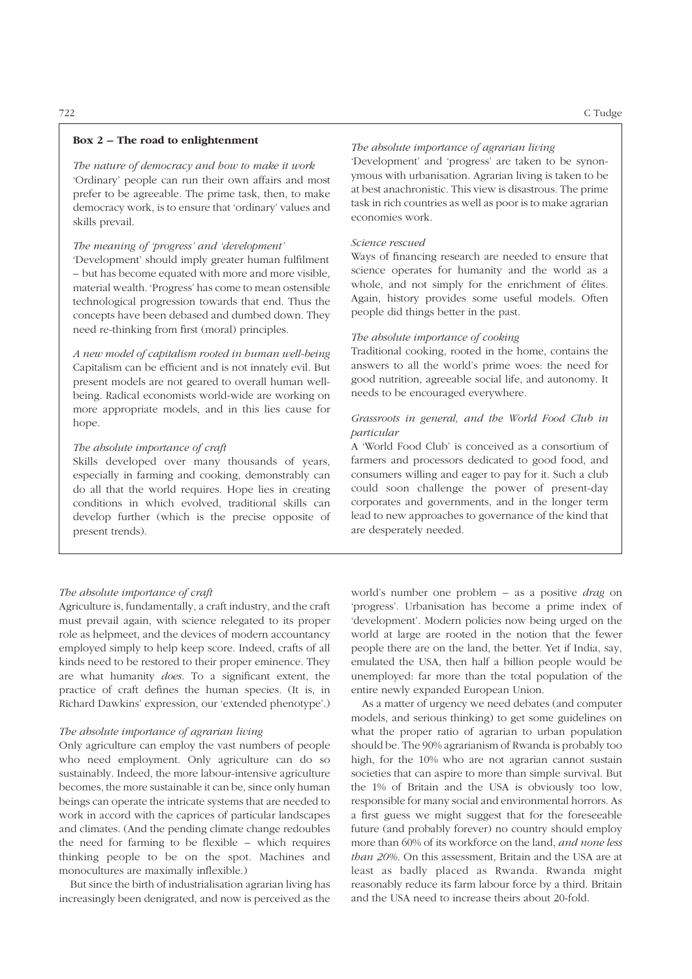# Box 2 – The road to enlightenment

The nature of democracy and how to make it work 'Ordinary' people can run their own affairs and most prefer to be agreeable. The prime task, then, to make democracy work, is to ensure that 'ordinary' values and skills prevail.

# The meaning of 'progress' and 'development'

'Development' should imply greater human fulfilment – but has become equated with more and more visible, material wealth. 'Progress' has come to mean ostensible technological progression towards that end. Thus the concepts have been debased and dumbed down. They need re-thinking from first (moral) principles.

A new model of capitalism rooted in human well-being Capitalism can be efficient and is not innately evil. But present models are not geared to overall human wellbeing. Radical economists world-wide are working on more appropriate models, and in this lies cause for hope.

#### The absolute importance of craft

Skills developed over many thousands of years, especially in farming and cooking, demonstrably can do all that the world requires. Hope lies in creating conditions in which evolved, traditional skills can develop further (which is the precise opposite of present trends).

# The absolute importance of craft

Agriculture is, fundamentally, a craft industry, and the craft must prevail again, with science relegated to its proper role as helpmeet, and the devices of modern accountancy employed simply to help keep score. Indeed, crafts of all kinds need to be restored to their proper eminence. They are what humanity does. To a significant extent, the practice of craft defines the human species. (It is, in Richard Dawkins' expression, our 'extended phenotype'.)

# The absolute importance of agrarian living

Only agriculture can employ the vast numbers of people who need employment. Only agriculture can do so sustainably. Indeed, the more labour-intensive agriculture becomes, the more sustainable it can be, since only human beings can operate the intricate systems that are needed to work in accord with the caprices of particular landscapes and climates. (And the pending climate change redoubles the need for farming to be flexible – which requires thinking people to be on the spot. Machines and monocultures are maximally inflexible.)

But since the birth of industrialisation agrarian living has increasingly been denigrated, and now is perceived as the 'Development' and 'progress' are taken to be synonymous with urbanisation. Agrarian living is taken to be at best anachronistic. This view is disastrous. The prime task in rich countries as well as poor is to make agrarian economies work.

# Science rescued

Ways of financing research are needed to ensure that science operates for humanity and the world as a whole, and not simply for the enrichment of élites. Again, history provides some useful models. Often people did things better in the past.

#### The absolute importance of cooking

Traditional cooking, rooted in the home, contains the answers to all the world's prime woes: the need for good nutrition, agreeable social life, and autonomy. It needs to be encouraged everywhere.

# Grassroots in general, and the World Food Club in particular

A 'World Food Club' is conceived as a consortium of farmers and processors dedicated to good food, and consumers willing and eager to pay for it. Such a club could soon challenge the power of present-day corporates and governments, and in the longer term lead to new approaches to governance of the kind that are desperately needed.

world's number one problem – as a positive drag on 'progress'. Urbanisation has become a prime index of 'development'. Modern policies now being urged on the world at large are rooted in the notion that the fewer people there are on the land, the better. Yet if India, say, emulated the USA, then half a billion people would be unemployed: far more than the total population of the entire newly expanded European Union.

As a matter of urgency we need debates (and computer models, and serious thinking) to get some guidelines on what the proper ratio of agrarian to urban population should be. The 90% agrarianism of Rwanda is probably too high, for the 10% who are not agrarian cannot sustain societies that can aspire to more than simple survival. But the 1% of Britain and the USA is obviously too low, responsible for many social and environmental horrors. As a first guess we might suggest that for the foreseeable future (and probably forever) no country should employ more than 60% of its workforce on the land, and none less than 20%. On this assessment, Britain and the USA are at least as badly placed as Rwanda. Rwanda might reasonably reduce its farm labour force by a third. Britain and the USA need to increase theirs about 20-fold.